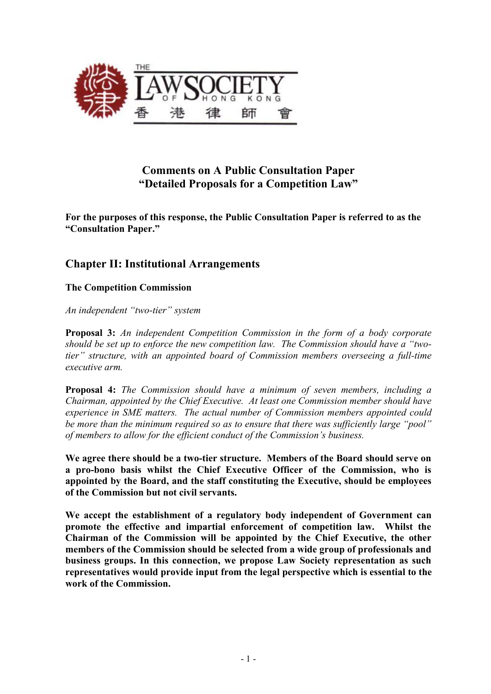

# **Comments on A Public Consultation Paper "Detailed Proposals for a Competition Law"**

**For the purposes of this response, the Public Consultation Paper is referred to as the "Consultation Paper."**

# **Chapter II: Institutional Arrangements**

## **The Competition Commission**

*An independent "two-tier" system* 

**Proposal 3:** *An independent Competition Commission in the form of a body corporate should be set up to enforce the new competition law. The Commission should have a "twotier" structure, with an appointed board of Commission members overseeing a full-time executive arm.* 

**Proposal 4:** *The Commission should have a minimum of seven members, including a Chairman, appointed by the Chief Executive. At least one Commission member should have experience in SME matters. The actual number of Commission members appointed could be more than the minimum required so as to ensure that there was sufficiently large "pool" of members to allow for the efficient conduct of the Commission's business.* 

**We agree there should be a two-tier structure. Members of the Board should serve on a pro-bono basis whilst the Chief Executive Officer of the Commission, who is appointed by the Board, and the staff constituting the Executive, should be employees of the Commission but not civil servants.** 

**We accept the establishment of a regulatory body independent of Government can promote the effective and impartial enforcement of competition law. Whilst the Chairman of the Commission will be appointed by the Chief Executive, the other members of the Commission should be selected from a wide group of professionals and business groups. In this connection, we propose Law Society representation as such representatives would provide input from the legal perspective which is essential to the work of the Commission.**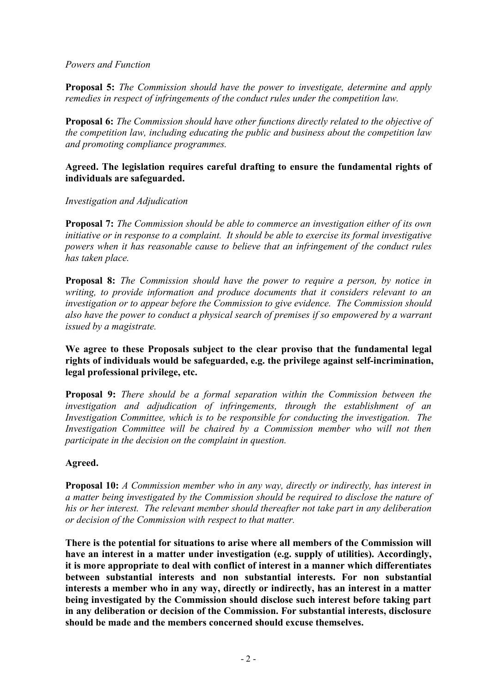### *Powers and Function*

**Proposal 5:** *The Commission should have the power to investigate, determine and apply remedies in respect of infringements of the conduct rules under the competition law.*

**Proposal 6:** *The Commission should have other functions directly related to the objective of the competition law, including educating the public and business about the competition law and promoting compliance programmes.* 

### **Agreed. The legislation requires careful drafting to ensure the fundamental rights of individuals are safeguarded.**

#### *Investigation and Adjudication*

**Proposal 7:** *The Commission should be able to commerce an investigation either of its own initiative or in response to a complaint. It should be able to exercise its formal investigative powers when it has reasonable cause to believe that an infringement of the conduct rules has taken place.* 

**Proposal 8:** *The Commission should have the power to require a person, by notice in writing, to provide information and produce documents that it considers relevant to an investigation or to appear before the Commission to give evidence. The Commission should also have the power to conduct a physical search of premises if so empowered by a warrant issued by a magistrate.* 

### **We agree to these Proposals subject to the clear proviso that the fundamental legal rights of individuals would be safeguarded, e.g. the privilege against self-incrimination, legal professional privilege, etc.**

**Proposal 9:** *There should be a formal separation within the Commission between the investigation and adjudication of infringements, through the establishment of an Investigation Committee, which is to be responsible for conducting the investigation. The Investigation Committee will be chaired by a Commission member who will not then participate in the decision on the complaint in question.* 

## **Agreed.**

**Proposal 10:** *A Commission member who in any way, directly or indirectly, has interest in a matter being investigated by the Commission should be required to disclose the nature of his or her interest. The relevant member should thereafter not take part in any deliberation or decision of the Commission with respect to that matter.* 

**There is the potential for situations to arise where all members of the Commission will have an interest in a matter under investigation (e.g. supply of utilities). Accordingly, it is more appropriate to deal with conflict of interest in a manner which differentiates between substantial interests and non substantial interests. For non substantial interests a member who in any way, directly or indirectly, has an interest in a matter being investigated by the Commission should disclose such interest before taking part in any deliberation or decision of the Commission. For substantial interests, disclosure should be made and the members concerned should excuse themselves.**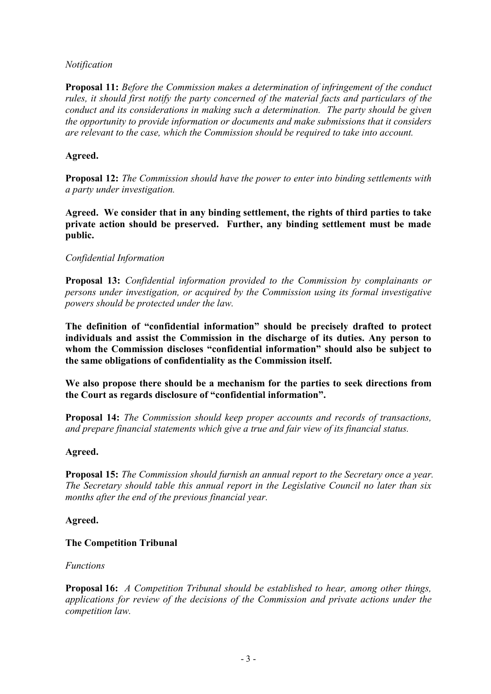## *Notification*

**Proposal 11:** *Before the Commission makes a determination of infringement of the conduct rules, it should first notify the party concerned of the material facts and particulars of the conduct and its considerations in making such a determination. The party should be given the opportunity to provide information or documents and make submissions that it considers are relevant to the case, which the Commission should be required to take into account.* 

## **Agreed.**

**Proposal 12:** *The Commission should have the power to enter into binding settlements with a party under investigation.* 

**Agreed. We consider that in any binding settlement, the rights of third parties to take private action should be preserved. Further, any binding settlement must be made public.** 

## *Confidential Information*

**Proposal 13:** *Confidential information provided to the Commission by complainants or persons under investigation, or acquired by the Commission using its formal investigative powers should be protected under the law.* 

**The definition of "confidential information" should be precisely drafted to protect individuals and assist the Commission in the discharge of its duties. Any person to whom the Commission discloses "confidential information" should also be subject to the same obligations of confidentiality as the Commission itself.** 

**We also propose there should be a mechanism for the parties to seek directions from the Court as regards disclosure of "confidential information".** 

**Proposal 14:** *The Commission should keep proper accounts and records of transactions, and prepare financial statements which give a true and fair view of its financial status.*

## **Agreed.**

**Proposal 15:** *The Commission should furnish an annual report to the Secretary once a year. The Secretary should table this annual report in the Legislative Council no later than six months after the end of the previous financial year.* 

## **Agreed.**

## **The Competition Tribunal**

## *Functions*

**Proposal 16:** *A Competition Tribunal should be established to hear, among other things, applications for review of the decisions of the Commission and private actions under the competition law.*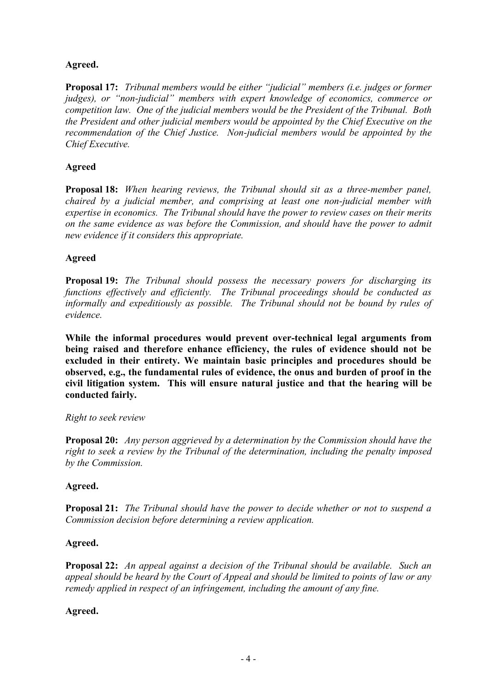## **Agreed.**

**Proposal 17:** *Tribunal members would be either "judicial" members (i.e. judges or former judges), or "non-judicial" members with expert knowledge of economics, commerce or competition law. One of the judicial members would be the President of the Tribunal. Both the President and other judicial members would be appointed by the Chief Executive on the recommendation of the Chief Justice. Non-judicial members would be appointed by the Chief Executive.* 

## **Agreed**

**Proposal 18:** *When hearing reviews, the Tribunal should sit as a three-member panel, chaired by a judicial member, and comprising at least one non-judicial member with expertise in economics. The Tribunal should have the power to review cases on their merits on the same evidence as was before the Commission, and should have the power to admit new evidence if it considers this appropriate.* 

## **Agreed**

**Proposal 19:** *The Tribunal should possess the necessary powers for discharging its functions effectively and efficiently. The Tribunal proceedings should be conducted as informally and expeditiously as possible. The Tribunal should not be bound by rules of evidence.* 

**While the informal procedures would prevent over-technical legal arguments from being raised and therefore enhance efficiency, the rules of evidence should not be excluded in their entirety. We maintain basic principles and procedures should be observed, e.g., the fundamental rules of evidence, the onus and burden of proof in the civil litigation system. This will ensure natural justice and that the hearing will be conducted fairly.** 

## *Right to seek review*

**Proposal 20:** *Any person aggrieved by a determination by the Commission should have the right to seek a review by the Tribunal of the determination, including the penalty imposed by the Commission.* 

## **Agreed.**

**Proposal 21:** *The Tribunal should have the power to decide whether or not to suspend a Commission decision before determining a review application.* 

## **Agreed.**

**Proposal 22:** *An appeal against a decision of the Tribunal should be available. Such an appeal should be heard by the Court of Appeal and should be limited to points of law or any remedy applied in respect of an infringement, including the amount of any fine.* 

## **Agreed.**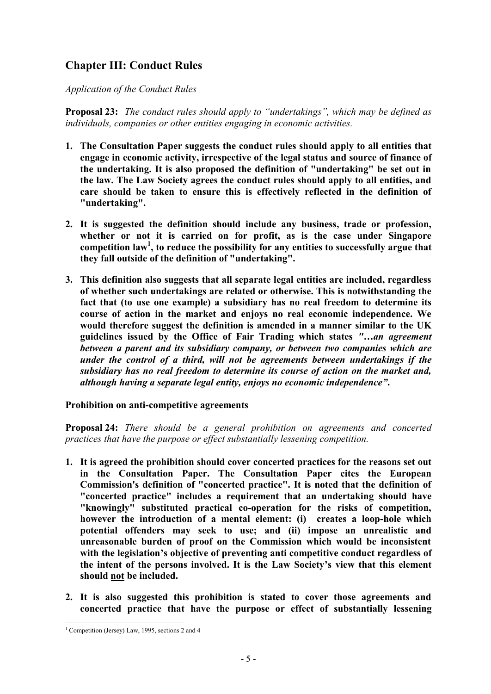# **Chapter III: Conduct Rules**

## *Application of the Conduct Rules*

**Proposal 23:** *The conduct rules should apply to "undertakings", which may be defined as individuals, companies or other entities engaging in economic activities.* 

- **1. The Consultation Paper suggests the conduct rules should apply to all entities that engage in economic activity, irrespective of the legal status and source of finance of the undertaking. It is also proposed the definition of "undertaking" be set out in the law. The Law Society agrees the conduct rules should apply to all entities, and care should be taken to ensure this is effectively reflected in the definition of "undertaking".**
- **2. It is suggested the definition should include any business, trade or profession, whether or not it is carried on for profit, as is the case under Singapore competition law<sup>1</sup> , to reduce the possibility for any entities to successfully argue that they fall outside of the definition of "undertaking".**
- **3. This definition also suggests that all separate legal entities are included, regardless of whether such undertakings are related or otherwise. This is notwithstanding the fact that (to use one example) a subsidiary has no real freedom to determine its course of action in the market and enjoys no real economic independence. We would therefore suggest the definition is amended in a manner similar to the UK guidelines issued by the Office of Fair Trading which states** *"…an agreement between a parent and its subsidiary company, or between two companies which are under the control of a third, will not be agreements between undertakings if the subsidiary has no real freedom to determine its course of action on the market and, although having a separate legal entity, enjoys no economic independence"***.**

## **Prohibition on anti-competitive agreements**

**Proposal 24:** *There should be a general prohibition on agreements and concerted practices that have the purpose or effect substantially lessening competition.* 

- **1. It is agreed the prohibition should cover concerted practices for the reasons set out in the Consultation Paper. The Consultation Paper cites the European Commission's definition of "concerted practice". It is noted that the definition of "concerted practice" includes a requirement that an undertaking should have "knowingly" substituted practical co-operation for the risks of competition, however the introduction of a mental element: (i) creates a loop-hole which potential offenders may seek to use; and (ii) impose an unrealistic and unreasonable burden of proof on the Commission which would be inconsistent with the legislation's objective of preventing anti competitive conduct regardless of the intent of the persons involved. It is the Law Society's view that this element should not be included.**
- **2. It is also suggested this prohibition is stated to cover those agreements and concerted practice that have the purpose or effect of substantially lessening**

<sup>&</sup>lt;sup>1</sup> Competition (Jersey) Law, 1995, sections 2 and 4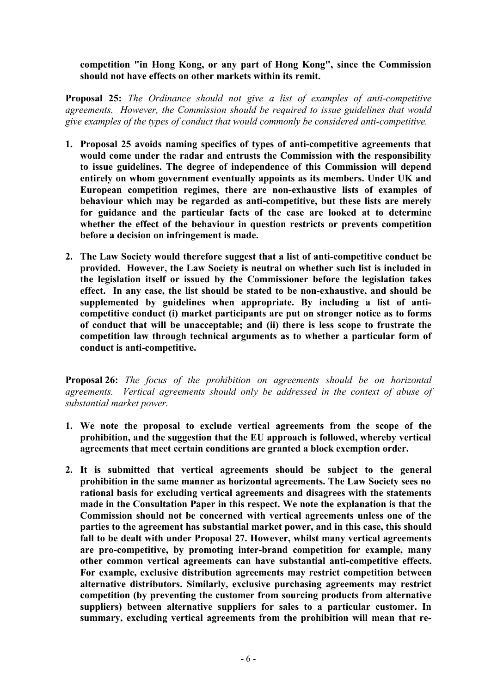### **competition "in Hong Kong, or any part of Hong Kong", since the Commission should not have effects on other markets within its remit.**

**Proposal 25:** *The Ordinance should not give a list of examples of anti-competitive agreements. However, the Commission should be required to issue guidelines that would give examples of the types of conduct that would commonly be considered anti-competitive.* 

- **1. Proposal 25 avoids naming specifics of types of anti-competitive agreements that would come under the radar and entrusts the Commission with the responsibility to issue guidelines. The degree of independence of this Commission will depend entirely on whom government eventually appoints as its members. Under UK and European competition regimes, there are non-exhaustive lists of examples of behaviour which may be regarded as anti-competitive, but these lists are merely for guidance and the particular facts of the case are looked at to determine whether the effect of the behaviour in question restricts or prevents competition before a decision on infringement is made.**
- **2. The Law Society would therefore suggest that a list of anti-competitive conduct be provided. However, the Law Society is neutral on whether such list is included in the legislation itself or issued by the Commissioner before the legislation takes effect. In any case, the list should be stated to be non-exhaustive, and should be supplemented by guidelines when appropriate. By including a list of anticompetitive conduct (i) market participants are put on stronger notice as to forms of conduct that will be unacceptable; and (ii) there is less scope to frustrate the competition law through technical arguments as to whether a particular form of conduct is anti-competitive.**

**Proposal 26:** *The focus of the prohibition on agreements should be on horizontal agreements. Vertical agreements should only be addressed in the context of abuse of substantial market power.* 

- **1. We note the proposal to exclude vertical agreements from the scope of the prohibition, and the suggestion that the EU approach is followed, whereby vertical agreements that meet certain conditions are granted a block exemption order.**
- **2. It is submitted that vertical agreements should be subject to the general prohibition in the same manner as horizontal agreements. The Law Society sees no rational basis for excluding vertical agreements and disagrees with the statements made in the Consultation Paper in this respect. We note the explanation is that the Commission should not be concerned with vertical agreements unless one of the parties to the agreement has substantial market power, and in this case, this should fall to be dealt with under Proposal 27. However, whilst many vertical agreements are pro-competitive, by promoting inter-brand competition for example, many other common vertical agreements can have substantial anti-competitive effects. For example, exclusive distribution agreements may restrict competition between alternative distributors. Similarly, exclusive purchasing agreements may restrict competition (by preventing the customer from sourcing products from alternative suppliers) between alternative suppliers for sales to a particular customer. In summary, excluding vertical agreements from the prohibition will mean that re-**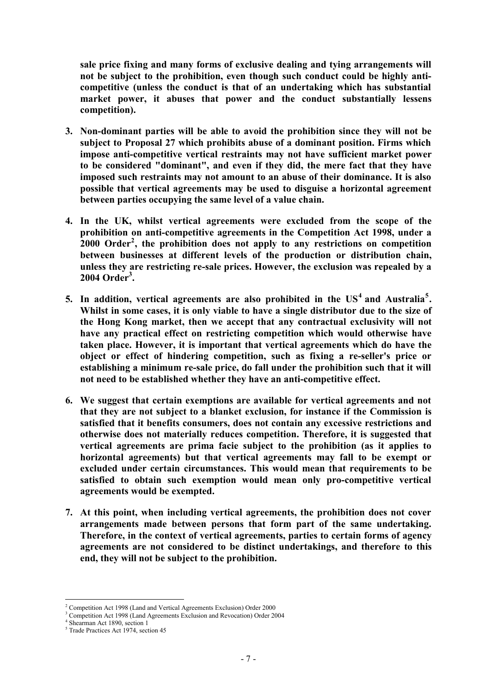**sale price fixing and many forms of exclusive dealing and tying arrangements will not be subject to the prohibition, even though such conduct could be highly anticompetitive (unless the conduct is that of an undertaking which has substantial market power, it abuses that power and the conduct substantially lessens competition).** 

- **3. Non-dominant parties will be able to avoid the prohibition since they will not be subject to Proposal 27 which prohibits abuse of a dominant position. Firms which impose anti-competitive vertical restraints may not have sufficient market power to be considered "dominant", and even if they did, the mere fact that they have imposed such restraints may not amount to an abuse of their dominance. It is also possible that vertical agreements may be used to disguise a horizontal agreement between parties occupying the same level of a value chain.**
- **4. In the UK, whilst vertical agreements were excluded from the scope of the prohibition on anti-competitive agreements in the Competition Act 1998, under a 2000 Order<sup>2</sup> , the prohibition does not apply to any restrictions on competition between businesses at different levels of the production or distribution chain, unless they are restricting re-sale prices. However, the exclusion was repealed by a 2004 Order<sup>3</sup> .**
- **5. In addition, vertical agreements are also prohibited in the US<sup>4</sup> and Australia<sup>5</sup> . Whilst in some cases, it is only viable to have a single distributor due to the size of the Hong Kong market, then we accept that any contractual exclusivity will not have any practical effect on restricting competition which would otherwise have taken place. However, it is important that vertical agreements which do have the object or effect of hindering competition, such as fixing a re-seller's price or establishing a minimum re-sale price, do fall under the prohibition such that it will not need to be established whether they have an anti-competitive effect.**
- **6. We suggest that certain exemptions are available for vertical agreements and not that they are not subject to a blanket exclusion, for instance if the Commission is satisfied that it benefits consumers, does not contain any excessive restrictions and otherwise does not materially reduces competition. Therefore, it is suggested that vertical agreements are prima facie subject to the prohibition (as it applies to horizontal agreements) but that vertical agreements may fall to be exempt or excluded under certain circumstances. This would mean that requirements to be satisfied to obtain such exemption would mean only pro-competitive vertical agreements would be exempted.**
- **7. At this point, when including vertical agreements, the prohibition does not cover arrangements made between persons that form part of the same undertaking. Therefore, in the context of vertical agreements, parties to certain forms of agency agreements are not considered to be distinct undertakings, and therefore to this end, they will not be subject to the prohibition.**

 2 Competition Act 1998 (Land and Vertical Agreements Exclusion) Order 2000

<sup>3</sup> Competition Act 1998 (Land Agreements Exclusion and Revocation) Order 2004

<sup>4</sup> Shearman Act 1890, section 1

<sup>5</sup> Trade Practices Act 1974, section 45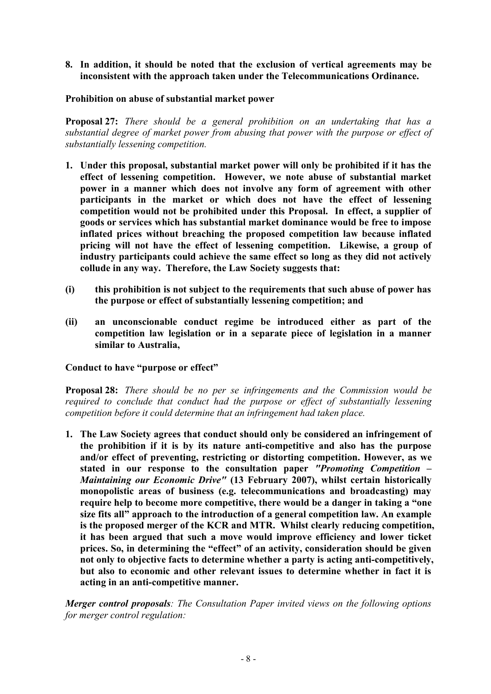**8. In addition, it should be noted that the exclusion of vertical agreements may be inconsistent with the approach taken under the Telecommunications Ordinance.** 

#### **Prohibition on abuse of substantial market power**

**Proposal 27:** *There should be a general prohibition on an undertaking that has a substantial degree of market power from abusing that power with the purpose or effect of substantially lessening competition.* 

- **1. Under this proposal, substantial market power will only be prohibited if it has the effect of lessening competition. However, we note abuse of substantial market power in a manner which does not involve any form of agreement with other participants in the market or which does not have the effect of lessening competition would not be prohibited under this Proposal. In effect, a supplier of goods or services which has substantial market dominance would be free to impose inflated prices without breaching the proposed competition law because inflated pricing will not have the effect of lessening competition. Likewise, a group of industry participants could achieve the same effect so long as they did not actively collude in any way. Therefore, the Law Society suggests that:**
- **(i) this prohibition is not subject to the requirements that such abuse of power has the purpose or effect of substantially lessening competition; and**
- **(ii) an unconscionable conduct regime be introduced either as part of the competition law legislation or in a separate piece of legislation in a manner similar to Australia,**

## **Conduct to have "purpose or effect"**

**Proposal 28:** *There should be no per se infringements and the Commission would be required to conclude that conduct had the purpose or effect of substantially lessening competition before it could determine that an infringement had taken place.* 

**1. The Law Society agrees that conduct should only be considered an infringement of the prohibition if it is by its nature anti-competitive and also has the purpose and/or effect of preventing, restricting or distorting competition. However, as we stated in our response to the consultation paper** *"Promoting Competition – Maintaining our Economic Drive"* **(13 February 2007), whilst certain historically monopolistic areas of business (e.g. telecommunications and broadcasting) may require help to become more competitive, there would be a danger in taking a "one size fits all" approach to the introduction of a general competition law. An example is the proposed merger of the KCR and MTR. Whilst clearly reducing competition, it has been argued that such a move would improve efficiency and lower ticket prices. So, in determining the "effect" of an activity, consideration should be given not only to objective facts to determine whether a party is acting anti-competitively, but also to economic and other relevant issues to determine whether in fact it is acting in an anti-competitive manner.** 

*Merger control proposals: The Consultation Paper invited views on the following options for merger control regulation:*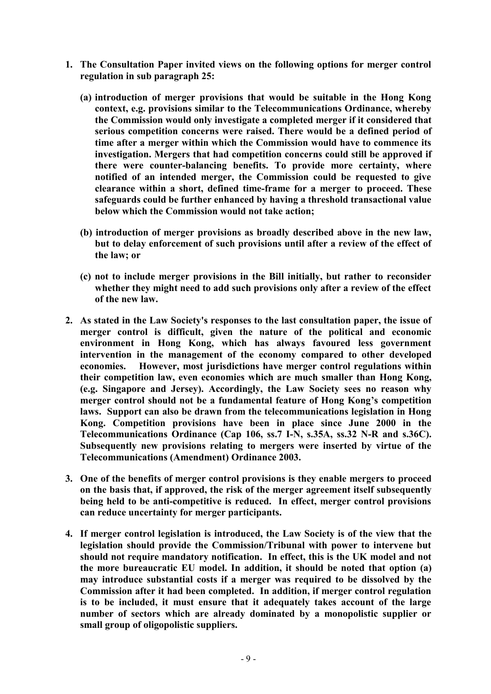- **1. The Consultation Paper invited views on the following options for merger control regulation in sub paragraph 25:** 
	- **(a) introduction of merger provisions that would be suitable in the Hong Kong context, e.g. provisions similar to the Telecommunications Ordinance, whereby the Commission would only investigate a completed merger if it considered that serious competition concerns were raised. There would be a defined period of time after a merger within which the Commission would have to commence its investigation. Mergers that had competition concerns could still be approved if there were counter-balancing benefits. To provide more certainty, where notified of an intended merger, the Commission could be requested to give clearance within a short, defined time-frame for a merger to proceed. These safeguards could be further enhanced by having a threshold transactional value below which the Commission would not take action;**
	- **(b) introduction of merger provisions as broadly described above in the new law, but to delay enforcement of such provisions until after a review of the effect of the law; or**
	- **(c) not to include merger provisions in the Bill initially, but rather to reconsider whether they might need to add such provisions only after a review of the effect of the new law.**
- **2. As stated in the Law Society's responses to the last consultation paper, the issue of merger control is difficult, given the nature of the political and economic environment in Hong Kong, which has always favoured less government intervention in the management of the economy compared to other developed economies. However, most jurisdictions have merger control regulations within their competition law, even economies which are much smaller than Hong Kong, (e.g. Singapore and Jersey). Accordingly, the Law Society sees no reason why merger control should not be a fundamental feature of Hong Kong's competition laws. Support can also be drawn from the telecommunications legislation in Hong Kong. Competition provisions have been in place since June 2000 in the Telecommunications Ordinance (Cap 106, ss.7 I-N, s.35A, ss.32 N-R and s.36C). Subsequently new provisions relating to mergers were inserted by virtue of the Telecommunications (Amendment) Ordinance 2003.**
- **3. One of the benefits of merger control provisions is they enable mergers to proceed on the basis that, if approved, the risk of the merger agreement itself subsequently being held to be anti-competitive is reduced. In effect, merger control provisions can reduce uncertainty for merger participants.**
- **4. If merger control legislation is introduced, the Law Society is of the view that the legislation should provide the Commission/Tribunal with power to intervene but should not require mandatory notification. In effect, this is the UK model and not the more bureaucratic EU model. In addition, it should be noted that option (a) may introduce substantial costs if a merger was required to be dissolved by the Commission after it had been completed. In addition, if merger control regulation is to be included, it must ensure that it adequately takes account of the large number of sectors which are already dominated by a monopolistic supplier or small group of oligopolistic suppliers.**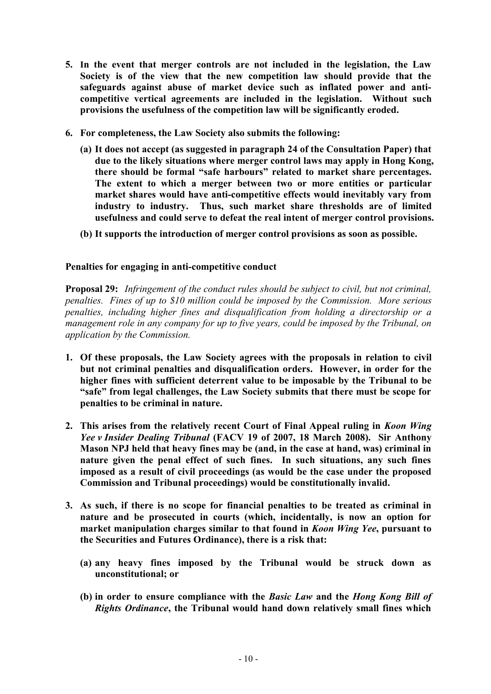- **5. In the event that merger controls are not included in the legislation, the Law Society is of the view that the new competition law should provide that the safeguards against abuse of market device such as inflated power and anticompetitive vertical agreements are included in the legislation. Without such provisions the usefulness of the competition law will be significantly eroded.**
- **6. For completeness, the Law Society also submits the following:** 
	- **(a) It does not accept (as suggested in paragraph 24 of the Consultation Paper) that due to the likely situations where merger control laws may apply in Hong Kong, there should be formal "safe harbours" related to market share percentages. The extent to which a merger between two or more entities or particular market shares would have anti-competitive effects would inevitably vary from industry to industry. Thus, such market share thresholds are of limited usefulness and could serve to defeat the real intent of merger control provisions.**
	- **(b) It supports the introduction of merger control provisions as soon as possible.**

#### **Penalties for engaging in anti-competitive conduct**

**Proposal 29:** *Infringement of the conduct rules should be subject to civil, but not criminal, penalties. Fines of up to \$10 million could be imposed by the Commission. More serious penalties, including higher fines and disqualification from holding a directorship or a management role in any company for up to five years, could be imposed by the Tribunal, on application by the Commission.* 

- **1. Of these proposals, the Law Society agrees with the proposals in relation to civil but not criminal penalties and disqualification orders. However, in order for the higher fines with sufficient deterrent value to be imposable by the Tribunal to be "safe" from legal challenges, the Law Society submits that there must be scope for penalties to be criminal in nature.**
- **2. This arises from the relatively recent Court of Final Appeal ruling in** *Koon Wing Yee v Insider Dealing Tribunal* **(FACV 19 of 2007, 18 March 2008). Sir Anthony Mason NPJ held that heavy fines may be (and, in the case at hand, was) criminal in nature given the penal effect of such fines. In such situations, any such fines imposed as a result of civil proceedings (as would be the case under the proposed Commission and Tribunal proceedings) would be constitutionally invalid.**
- **3. As such, if there is no scope for financial penalties to be treated as criminal in nature and be prosecuted in courts (which, incidentally, is now an option for market manipulation charges similar to that found in** *Koon Wing Yee***, pursuant to the Securities and Futures Ordinance), there is a risk that:** 
	- **(a) any heavy fines imposed by the Tribunal would be struck down as unconstitutional; or**
	- **(b) in order to ensure compliance with the** *Basic Law* **and the** *Hong Kong Bill of Rights Ordinance***, the Tribunal would hand down relatively small fines which**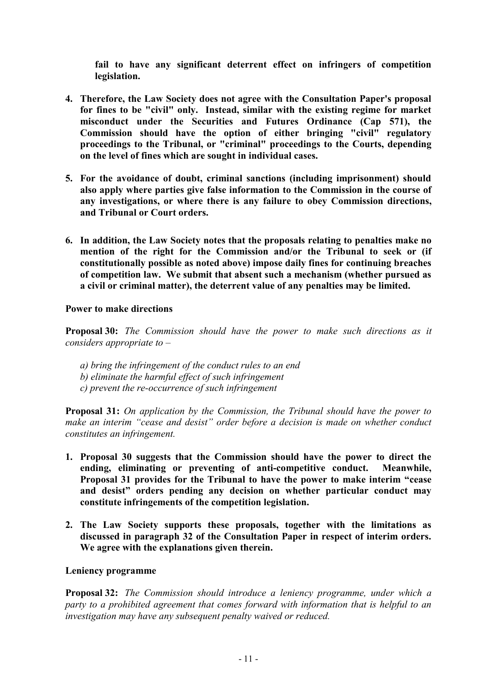**fail to have any significant deterrent effect on infringers of competition legislation.** 

- **4. Therefore, the Law Society does not agree with the Consultation Paper's proposal for fines to be "civil" only. Instead, similar with the existing regime for market misconduct under the Securities and Futures Ordinance (Cap 571), the Commission should have the option of either bringing "civil" regulatory proceedings to the Tribunal, or "criminal" proceedings to the Courts, depending on the level of fines which are sought in individual cases.**
- **5. For the avoidance of doubt, criminal sanctions (including imprisonment) should also apply where parties give false information to the Commission in the course of any investigations, or where there is any failure to obey Commission directions, and Tribunal or Court orders.**
- **6. In addition, the Law Society notes that the proposals relating to penalties make no mention of the right for the Commission and/or the Tribunal to seek or (if constitutionally possible as noted above) impose daily fines for continuing breaches of competition law. We submit that absent such a mechanism (whether pursued as a civil or criminal matter), the deterrent value of any penalties may be limited.**

#### **Power to make directions**

**Proposal 30:** *The Commission should have the power to make such directions as it considers appropriate to –*

- *a) bring the infringement of the conduct rules to an end*
- *b) eliminate the harmful effect of such infringement*
- *c) prevent the re-occurrence of such infringement*

**Proposal 31:** *On application by the Commission, the Tribunal should have the power to make an interim "cease and desist" order before a decision is made on whether conduct constitutes an infringement.* 

- **1. Proposal 30 suggests that the Commission should have the power to direct the ending, eliminating or preventing of anti-competitive conduct. Meanwhile, Proposal 31 provides for the Tribunal to have the power to make interim "cease and desist" orders pending any decision on whether particular conduct may constitute infringements of the competition legislation.**
- **2. The Law Society supports these proposals, together with the limitations as discussed in paragraph 32 of the Consultation Paper in respect of interim orders. We agree with the explanations given therein.**

#### **Leniency programme**

**Proposal 32:** *The Commission should introduce a leniency programme, under which a party to a prohibited agreement that comes forward with information that is helpful to an investigation may have any subsequent penalty waived or reduced.*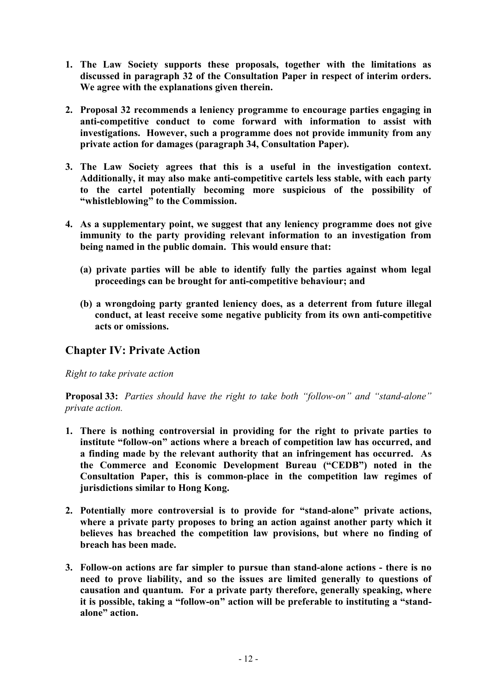- **1. The Law Society supports these proposals, together with the limitations as discussed in paragraph 32 of the Consultation Paper in respect of interim orders. We agree with the explanations given therein.**
- **2. Proposal 32 recommends a leniency programme to encourage parties engaging in anti-competitive conduct to come forward with information to assist with investigations. However, such a programme does not provide immunity from any private action for damages (paragraph 34, Consultation Paper).**
- **3. The Law Society agrees that this is a useful in the investigation context. Additionally, it may also make anti-competitive cartels less stable, with each party to the cartel potentially becoming more suspicious of the possibility of "whistleblowing" to the Commission.**
- **4. As a supplementary point, we suggest that any leniency programme does not give immunity to the party providing relevant information to an investigation from being named in the public domain. This would ensure that:** 
	- **(a) private parties will be able to identify fully the parties against whom legal proceedings can be brought for anti-competitive behaviour; and**
	- **(b) a wrongdoing party granted leniency does, as a deterrent from future illegal conduct, at least receive some negative publicity from its own anti-competitive acts or omissions.**

# **Chapter IV: Private Action**

*Right to take private action* 

**Proposal 33:** *Parties should have the right to take both "follow-on" and "stand-alone" private action.* 

- **1. There is nothing controversial in providing for the right to private parties to institute "follow-on" actions where a breach of competition law has occurred, and a finding made by the relevant authority that an infringement has occurred. As the Commerce and Economic Development Bureau ("CEDB") noted in the Consultation Paper, this is common-place in the competition law regimes of jurisdictions similar to Hong Kong.**
- **2. Potentially more controversial is to provide for "stand-alone" private actions, where a private party proposes to bring an action against another party which it believes has breached the competition law provisions, but where no finding of breach has been made.**
- **3. Follow-on actions are far simpler to pursue than stand-alone actions - there is no need to prove liability, and so the issues are limited generally to questions of causation and quantum. For a private party therefore, generally speaking, where it is possible, taking a "follow-on" action will be preferable to instituting a "standalone" action.**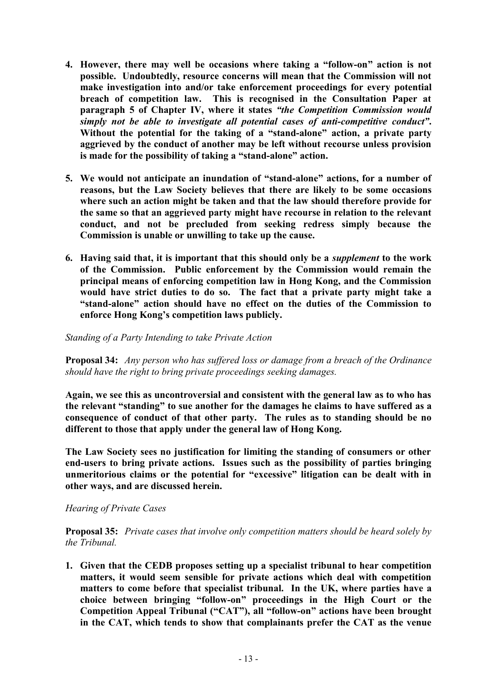- **4. However, there may well be occasions where taking a "follow-on" action is not possible. Undoubtedly, resource concerns will mean that the Commission will not make investigation into and/or take enforcement proceedings for every potential breach of competition law. This is recognised in the Consultation Paper at paragraph 5 of Chapter IV, where it states** *"the Competition Commission would simply not be able to investigate all potential cases of anti-competitive conduct"***. Without the potential for the taking of a "stand-alone" action, a private party aggrieved by the conduct of another may be left without recourse unless provision is made for the possibility of taking a "stand-alone" action.**
- **5. We would not anticipate an inundation of "stand-alone" actions, for a number of reasons, but the Law Society believes that there are likely to be some occasions where such an action might be taken and that the law should therefore provide for the same so that an aggrieved party might have recourse in relation to the relevant conduct, and not be precluded from seeking redress simply because the Commission is unable or unwilling to take up the cause.**
- **6. Having said that, it is important that this should only be a** *supplement* **to the work of the Commission. Public enforcement by the Commission would remain the principal means of enforcing competition law in Hong Kong, and the Commission would have strict duties to do so. The fact that a private party might take a "stand-alone" action should have no effect on the duties of the Commission to enforce Hong Kong's competition laws publicly.**

*Standing of a Party Intending to take Private Action* 

**Proposal 34:** *Any person who has suffered loss or damage from a breach of the Ordinance should have the right to bring private proceedings seeking damages.* 

**Again, we see this as uncontroversial and consistent with the general law as to who has the relevant "standing" to sue another for the damages he claims to have suffered as a consequence of conduct of that other party. The rules as to standing should be no different to those that apply under the general law of Hong Kong.** 

**The Law Society sees no justification for limiting the standing of consumers or other end-users to bring private actions. Issues such as the possibility of parties bringing unmeritorious claims or the potential for "excessive" litigation can be dealt with in other ways, and are discussed herein.** 

*Hearing of Private Cases* 

**Proposal 35:** *Private cases that involve only competition matters should be heard solely by the Tribunal.* 

**1. Given that the CEDB proposes setting up a specialist tribunal to hear competition matters, it would seem sensible for private actions which deal with competition matters to come before that specialist tribunal. In the UK, where parties have a choice between bringing "follow-on" proceedings in the High Court or the Competition Appeal Tribunal ("CAT"), all "follow-on" actions have been brought in the CAT, which tends to show that complainants prefer the CAT as the venue**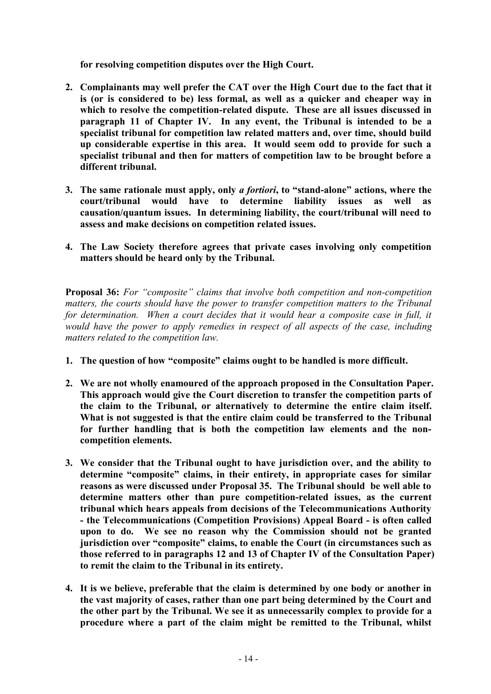**for resolving competition disputes over the High Court.** 

- **2. Complainants may well prefer the CAT over the High Court due to the fact that it is (or is considered to be) less formal, as well as a quicker and cheaper way in which to resolve the competition-related dispute. These are all issues discussed in paragraph 11 of Chapter IV. In any event, the Tribunal is intended to be a specialist tribunal for competition law related matters and, over time, should build up considerable expertise in this area. It would seem odd to provide for such a specialist tribunal and then for matters of competition law to be brought before a different tribunal.**
- **3. The same rationale must apply, only** *a fortiori***, to "stand-alone" actions, where the court/tribunal would have to determine liability issues as well as causation/quantum issues. In determining liability, the court/tribunal will need to assess and make decisions on competition related issues.**
- **4. The Law Society therefore agrees that private cases involving only competition matters should be heard only by the Tribunal.**

**Proposal 36:** *For "composite" claims that involve both competition and non-competition matters, the courts should have the power to transfer competition matters to the Tribunal for determination. When a court decides that it would hear a composite case in full, it would have the power to apply remedies in respect of all aspects of the case, including matters related to the competition law.* 

- **1. The question of how "composite" claims ought to be handled is more difficult.**
- **2. We are not wholly enamoured of the approach proposed in the Consultation Paper. This approach would give the Court discretion to transfer the competition parts of the claim to the Tribunal, or alternatively to determine the entire claim itself. What is not suggested is that the entire claim could be transferred to the Tribunal for further handling that is both the competition law elements and the noncompetition elements.**
- **3. We consider that the Tribunal ought to have jurisdiction over, and the ability to determine "composite" claims, in their entirety, in appropriate cases for similar reasons as were discussed under Proposal 35. The Tribunal should be well able to determine matters other than pure competition-related issues, as the current tribunal which hears appeals from decisions of the Telecommunications Authority - the Telecommunications (Competition Provisions) Appeal Board - is often called upon to do. We see no reason why the Commission should not be granted jurisdiction over "composite" claims, to enable the Court (in circumstances such as those referred to in paragraphs 12 and 13 of Chapter IV of the Consultation Paper) to remit the claim to the Tribunal in its entirety.**
- **4. It is we believe, preferable that the claim is determined by one body or another in the vast majority of cases, rather than one part being determined by the Court and the other part by the Tribunal. We see it as unnecessarily complex to provide for a procedure where a part of the claim might be remitted to the Tribunal, whilst**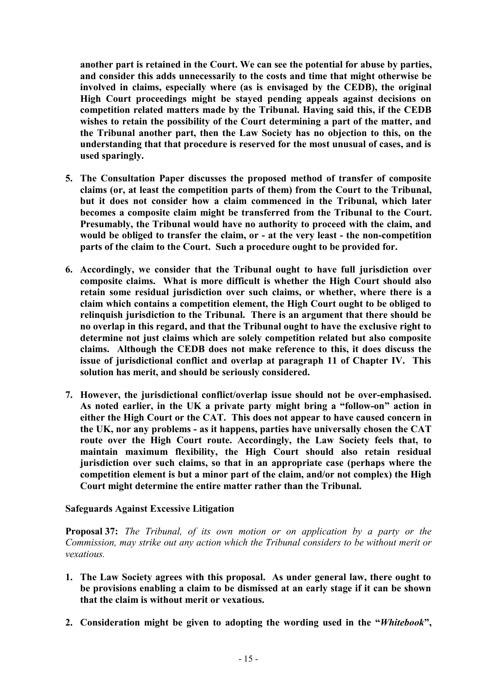**another part is retained in the Court. We can see the potential for abuse by parties, and consider this adds unnecessarily to the costs and time that might otherwise be involved in claims, especially where (as is envisaged by the CEDB), the original High Court proceedings might be stayed pending appeals against decisions on competition related matters made by the Tribunal. Having said this, if the CEDB wishes to retain the possibility of the Court determining a part of the matter, and the Tribunal another part, then the Law Society has no objection to this, on the understanding that that procedure is reserved for the most unusual of cases, and is used sparingly.** 

- **5. The Consultation Paper discusses the proposed method of transfer of composite claims (or, at least the competition parts of them) from the Court to the Tribunal, but it does not consider how a claim commenced in the Tribunal, which later becomes a composite claim might be transferred from the Tribunal to the Court. Presumably, the Tribunal would have no authority to proceed with the claim, and would be obliged to transfer the claim, or - at the very least - the non-competition parts of the claim to the Court. Such a procedure ought to be provided for.**
- **6. Accordingly, we consider that the Tribunal ought to have full jurisdiction over composite claims. What is more difficult is whether the High Court should also retain some residual jurisdiction over such claims, or whether, where there is a claim which contains a competition element, the High Court ought to be obliged to relinquish jurisdiction to the Tribunal. There is an argument that there should be no overlap in this regard, and that the Tribunal ought to have the exclusive right to determine not just claims which are solely competition related but also composite claims. Although the CEDB does not make reference to this, it does discuss the issue of jurisdictional conflict and overlap at paragraph 11 of Chapter IV. This solution has merit, and should be seriously considered.**
- **7. However, the jurisdictional conflict/overlap issue should not be over-emphasised. As noted earlier, in the UK a private party might bring a "follow-on" action in either the High Court or the CAT. This does not appear to have caused concern in the UK, nor any problems - as it happens, parties have universally chosen the CAT route over the High Court route. Accordingly, the Law Society feels that, to maintain maximum flexibility, the High Court should also retain residual jurisdiction over such claims, so that in an appropriate case (perhaps where the competition element is but a minor part of the claim, and/or not complex) the High Court might determine the entire matter rather than the Tribunal.**

#### **Safeguards Against Excessive Litigation**

**Proposal 37:** *The Tribunal, of its own motion or on application by a party or the Commission, may strike out any action which the Tribunal considers to be without merit or vexatious.* 

- **1. The Law Society agrees with this proposal. As under general law, there ought to be provisions enabling a claim to be dismissed at an early stage if it can be shown that the claim is without merit or vexatious.**
- **2. Consideration might be given to adopting the wording used in the "***Whitebook***",**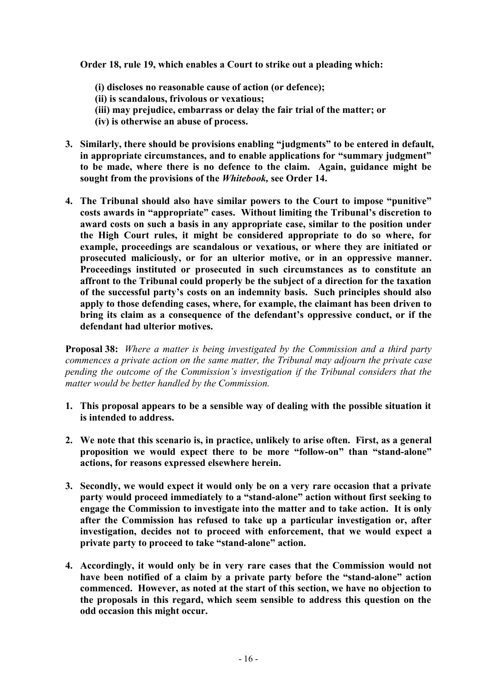**Order 18, rule 19, which enables a Court to strike out a pleading which:** 

- **(i) discloses no reasonable cause of action (or defence);**
- **(ii) is scandalous, frivolous or vexatious;**
- **(iii) may prejudice, embarrass or delay the fair trial of the matter; or**
- **(iv) is otherwise an abuse of process.**
- **3. Similarly, there should be provisions enabling "judgments" to be entered in default, in appropriate circumstances, and to enable applications for "summary judgment" to be made, where there is no defence to the claim. Again, guidance might be sought from the provisions of the** *Whitebook,* **see Order 14.**
- **4. The Tribunal should also have similar powers to the Court to impose "punitive" costs awards in "appropriate" cases. Without limiting the Tribunal's discretion to award costs on such a basis in any appropriate case, similar to the position under the High Court rules, it might be considered appropriate to do so where, for example, proceedings are scandalous or vexatious, or where they are initiated or prosecuted maliciously, or for an ulterior motive, or in an oppressive manner. Proceedings instituted or prosecuted in such circumstances as to constitute an affront to the Tribunal could properly be the subject of a direction for the taxation of the successful party's costs on an indemnity basis. Such principles should also apply to those defending cases, where, for example, the claimant has been driven to bring its claim as a consequence of the defendant's oppressive conduct, or if the defendant had ulterior motives.**

**Proposal 38:** *Where a matter is being investigated by the Commission and a third party commences a private action on the same matter, the Tribunal may adjourn the private case pending the outcome of the Commission's investigation if the Tribunal considers that the matter would be better handled by the Commission.* 

- **1. This proposal appears to be a sensible way of dealing with the possible situation it is intended to address.**
- **2. We note that this scenario is, in practice, unlikely to arise often. First, as a general proposition we would expect there to be more "follow-on" than "stand-alone" actions, for reasons expressed elsewhere herein.**
- **3. Secondly, we would expect it would only be on a very rare occasion that a private party would proceed immediately to a "stand-alone" action without first seeking to engage the Commission to investigate into the matter and to take action. It is only after the Commission has refused to take up a particular investigation or, after investigation, decides not to proceed with enforcement, that we would expect a private party to proceed to take "stand-alone" action.**
- **4. Accordingly, it would only be in very rare cases that the Commission would not have been notified of a claim by a private party before the "stand-alone" action commenced. However, as noted at the start of this section, we have no objection to the proposals in this regard, which seem sensible to address this question on the odd occasion this might occur.**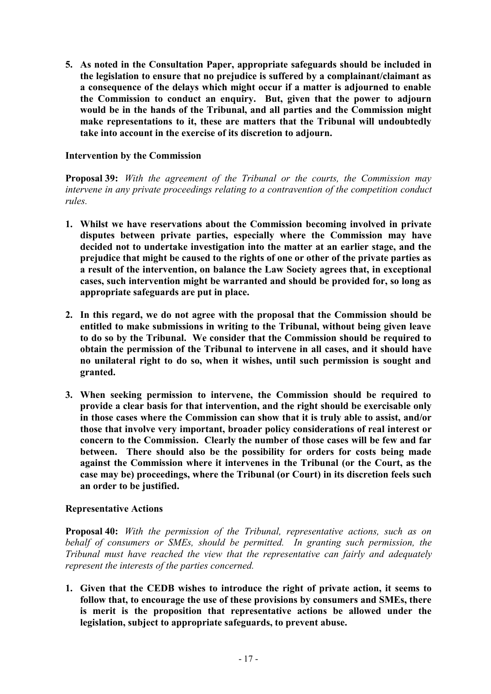**5. As noted in the Consultation Paper, appropriate safeguards should be included in the legislation to ensure that no prejudice is suffered by a complainant/claimant as a consequence of the delays which might occur if a matter is adjourned to enable the Commission to conduct an enquiry. But, given that the power to adjourn would be in the hands of the Tribunal, and all parties and the Commission might make representations to it, these are matters that the Tribunal will undoubtedly take into account in the exercise of its discretion to adjourn.** 

#### **Intervention by the Commission**

**Proposal 39:** *With the agreement of the Tribunal or the courts, the Commission may intervene in any private proceedings relating to a contravention of the competition conduct rules.* 

- **1. Whilst we have reservations about the Commission becoming involved in private disputes between private parties, especially where the Commission may have decided not to undertake investigation into the matter at an earlier stage, and the prejudice that might be caused to the rights of one or other of the private parties as a result of the intervention, on balance the Law Society agrees that, in exceptional cases, such intervention might be warranted and should be provided for, so long as appropriate safeguards are put in place.**
- **2. In this regard, we do not agree with the proposal that the Commission should be entitled to make submissions in writing to the Tribunal, without being given leave to do so by the Tribunal. We consider that the Commission should be required to obtain the permission of the Tribunal to intervene in all cases, and it should have no unilateral right to do so, when it wishes, until such permission is sought and granted.**
- **3. When seeking permission to intervene, the Commission should be required to provide a clear basis for that intervention, and the right should be exercisable only in those cases where the Commission can show that it is truly able to assist, and/or those that involve very important, broader policy considerations of real interest or concern to the Commission. Clearly the number of those cases will be few and far between. There should also be the possibility for orders for costs being made against the Commission where it intervenes in the Tribunal (or the Court, as the case may be) proceedings, where the Tribunal (or Court) in its discretion feels such an order to be justified.**

## **Representative Actions**

**Proposal 40:** *With the permission of the Tribunal, representative actions, such as on behalf of consumers or SMEs, should be permitted. In granting such permission, the Tribunal must have reached the view that the representative can fairly and adequately represent the interests of the parties concerned.* 

**1. Given that the CEDB wishes to introduce the right of private action, it seems to follow that, to encourage the use of these provisions by consumers and SMEs, there is merit is the proposition that representative actions be allowed under the legislation, subject to appropriate safeguards, to prevent abuse.**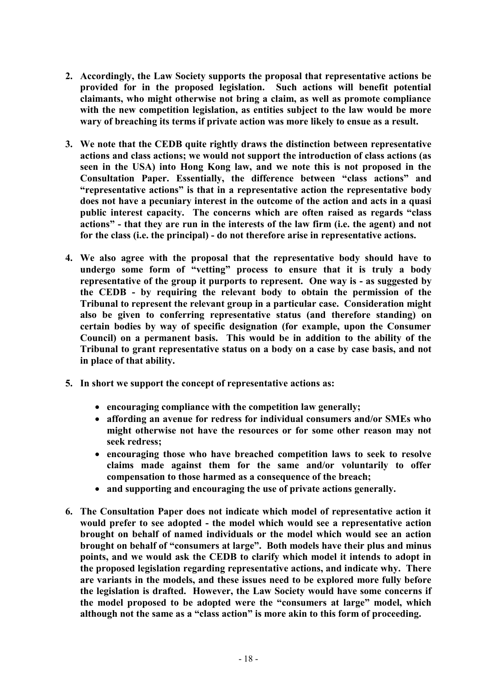- **2. Accordingly, the Law Society supports the proposal that representative actions be provided for in the proposed legislation. Such actions will benefit potential claimants, who might otherwise not bring a claim, as well as promote compliance with the new competition legislation, as entities subject to the law would be more wary of breaching its terms if private action was more likely to ensue as a result.**
- **3. We note that the CEDB quite rightly draws the distinction between representative actions and class actions; we would not support the introduction of class actions (as seen in the USA) into Hong Kong law, and we note this is not proposed in the Consultation Paper. Essentially, the difference between "class actions" and "representative actions" is that in a representative action the representative body does not have a pecuniary interest in the outcome of the action and acts in a quasi public interest capacity. The concerns which are often raised as regards "class actions" - that they are run in the interests of the law firm (i.e. the agent) and not for the class (i.e. the principal) - do not therefore arise in representative actions.**
- **4. We also agree with the proposal that the representative body should have to undergo some form of "vetting" process to ensure that it is truly a body representative of the group it purports to represent. One way is - as suggested by the CEDB - by requiring the relevant body to obtain the permission of the Tribunal to represent the relevant group in a particular case. Consideration might also be given to conferring representative status (and therefore standing) on certain bodies by way of specific designation (for example, upon the Consumer Council) on a permanent basis. This would be in addition to the ability of the Tribunal to grant representative status on a body on a case by case basis, and not in place of that ability.**
- **5. In short we support the concept of representative actions as:** 
	- · **encouraging compliance with the competition law generally;**
	- · **affording an avenue for redress for individual consumers and/or SMEs who might otherwise not have the resources or for some other reason may not seek redress;**
	- · **encouraging those who have breached competition laws to seek to resolve claims made against them for the same and/or voluntarily to offer compensation to those harmed as a consequence of the breach;**
	- · **and supporting and encouraging the use of private actions generally.**
- **6. The Consultation Paper does not indicate which model of representative action it would prefer to see adopted - the model which would see a representative action brought on behalf of named individuals or the model which would see an action brought on behalf of "consumers at large". Both models have their plus and minus points, and we would ask the CEDB to clarify which model it intends to adopt in the proposed legislation regarding representative actions, and indicate why. There are variants in the models, and these issues need to be explored more fully before the legislation is drafted. However, the Law Society would have some concerns if the model proposed to be adopted were the "consumers at large" model, which although not the same as a "class action" is more akin to this form of proceeding.**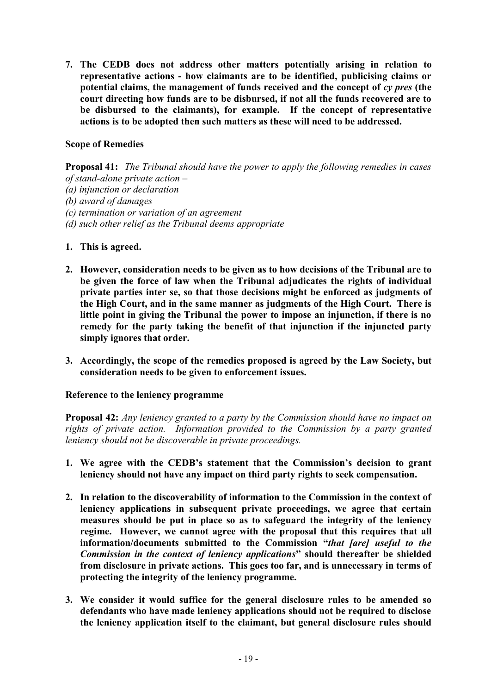**7. The CEDB does not address other matters potentially arising in relation to representative actions - how claimants are to be identified, publicising claims or potential claims, the management of funds received and the concept of** *cy pres* **(the court directing how funds are to be disbursed, if not all the funds recovered are to be disbursed to the claimants), for example. If the concept of representative actions is to be adopted then such matters as these will need to be addressed.** 

## **Scope of Remedies**

**Proposal 41:** *The Tribunal should have the power to apply the following remedies in cases of stand-alone private action – (a) injunction or declaration (b) award of damages (c) termination or variation of an agreement (d) such other relief as the Tribunal deems appropriate* 

- **1. This is agreed.**
- **2. However, consideration needs to be given as to how decisions of the Tribunal are to be given the force of law when the Tribunal adjudicates the rights of individual private parties inter se, so that those decisions might be enforced as judgments of the High Court, and in the same manner as judgments of the High Court. There is little point in giving the Tribunal the power to impose an injunction, if there is no remedy for the party taking the benefit of that injunction if the injuncted party simply ignores that order.**
- **3. Accordingly, the scope of the remedies proposed is agreed by the Law Society, but consideration needs to be given to enforcement issues.**

#### **Reference to the leniency programme**

**Proposal 42:** *Any leniency granted to a party by the Commission should have no impact on rights of private action. Information provided to the Commission by a party granted leniency should not be discoverable in private proceedings.*

- **1. We agree with the CEDB's statement that the Commission's decision to grant leniency should not have any impact on third party rights to seek compensation.**
- **2. In relation to the discoverability of information to the Commission in the context of leniency applications in subsequent private proceedings, we agree that certain measures should be put in place so as to safeguard the integrity of the leniency regime. However, we cannot agree with the proposal that this requires that all information/documents submitted to the Commission "***that [are] useful to the Commission in the context of leniency applications***" should thereafter be shielded from disclosure in private actions. This goes too far, and is unnecessary in terms of protecting the integrity of the leniency programme.**
- **3. We consider it would suffice for the general disclosure rules to be amended so defendants who have made leniency applications should not be required to disclose the leniency application itself to the claimant, but general disclosure rules should**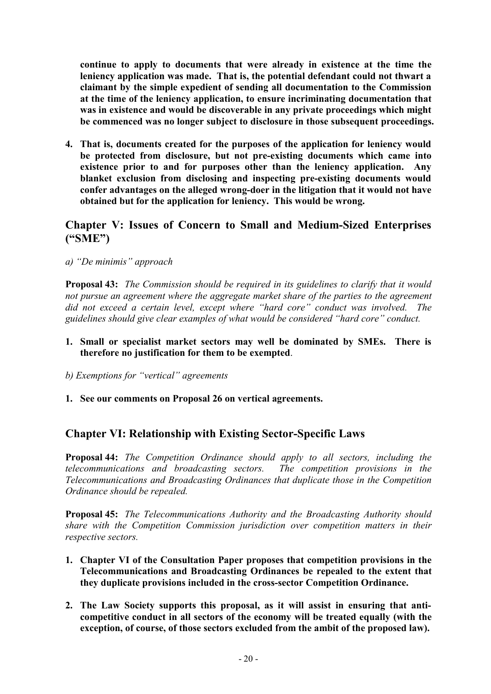**continue to apply to documents that were already in existence at the time the leniency application was made. That is, the potential defendant could not thwart a claimant by the simple expedient of sending all documentation to the Commission at the time of the leniency application, to ensure incriminating documentation that was in existence and would be discoverable in any private proceedings which might be commenced was no longer subject to disclosure in those subsequent proceedings.** 

**4. That is, documents created for the purposes of the application for leniency would be protected from disclosure, but not pre-existing documents which came into existence prior to and for purposes other than the leniency application. Any blanket exclusion from disclosing and inspecting pre-existing documents would confer advantages on the alleged wrong-doer in the litigation that it would not have obtained but for the application for leniency. This would be wrong.** 

## **Chapter V: Issues of Concern to Small and Medium-Sized Enterprises ("SME")**

*a) "De minimis" approach* 

**Proposal 43:** *The Commission should be required in its guidelines to clarify that it would not pursue an agreement where the aggregate market share of the parties to the agreement did not exceed a certain level, except where "hard core" conduct was involved. The guidelines should give clear examples of what would be considered "hard core" conduct.* 

- **1. Small or specialist market sectors may well be dominated by SMEs. There is therefore no justification for them to be exempted**.
- *b) Exemptions for "vertical" agreements*
- **1. See our comments on Proposal 26 on vertical agreements.**

## **Chapter VI: Relationship with Existing Sector-Specific Laws**

**Proposal 44:** *The Competition Ordinance should apply to all sectors, including the telecommunications and broadcasting sectors. The competition provisions in the Telecommunications and Broadcasting Ordinances that duplicate those in the Competition Ordinance should be repealed.* 

**Proposal 45:** *The Telecommunications Authority and the Broadcasting Authority should share with the Competition Commission jurisdiction over competition matters in their respective sectors.* 

- **1. Chapter VI of the Consultation Paper proposes that competition provisions in the Telecommunications and Broadcasting Ordinances be repealed to the extent that they duplicate provisions included in the cross-sector Competition Ordinance.**
- **2. The Law Society supports this proposal, as it will assist in ensuring that anticompetitive conduct in all sectors of the economy will be treated equally (with the exception, of course, of those sectors excluded from the ambit of the proposed law).**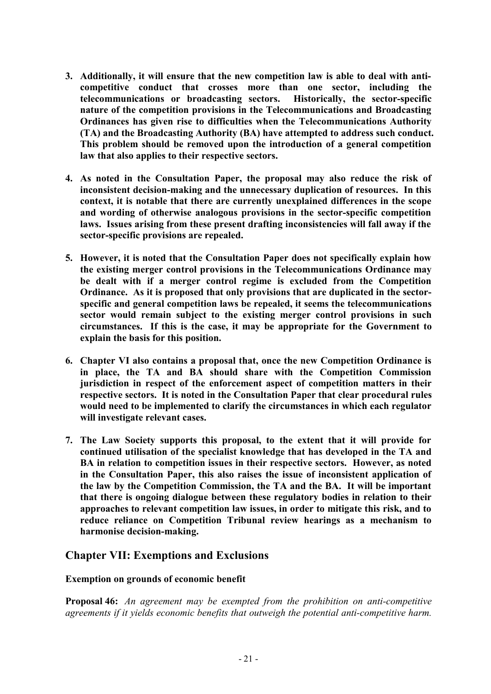- **3. Additionally, it will ensure that the new competition law is able to deal with anticompetitive conduct that crosses more than one sector, including the telecommunications or broadcasting sectors. Historically, the sector-specific nature of the competition provisions in the Telecommunications and Broadcasting Ordinances has given rise to difficulties when the Telecommunications Authority (TA) and the Broadcasting Authority (BA) have attempted to address such conduct. This problem should be removed upon the introduction of a general competition law that also applies to their respective sectors.**
- **4. As noted in the Consultation Paper, the proposal may also reduce the risk of inconsistent decision-making and the unnecessary duplication of resources. In this context, it is notable that there are currently unexplained differences in the scope and wording of otherwise analogous provisions in the sector-specific competition laws. Issues arising from these present drafting inconsistencies will fall away if the sector-specific provisions are repealed.**
- **5. However, it is noted that the Consultation Paper does not specifically explain how the existing merger control provisions in the Telecommunications Ordinance may be dealt with if a merger control regime is excluded from the Competition Ordinance. As it is proposed that only provisions that are duplicated in the sectorspecific and general competition laws be repealed, it seems the telecommunications sector would remain subject to the existing merger control provisions in such circumstances. If this is the case, it may be appropriate for the Government to explain the basis for this position.**
- **6. Chapter VI also contains a proposal that, once the new Competition Ordinance is in place, the TA and BA should share with the Competition Commission jurisdiction in respect of the enforcement aspect of competition matters in their respective sectors. It is noted in the Consultation Paper that clear procedural rules would need to be implemented to clarify the circumstances in which each regulator will investigate relevant cases.**
- **7. The Law Society supports this proposal, to the extent that it will provide for continued utilisation of the specialist knowledge that has developed in the TA and BA in relation to competition issues in their respective sectors. However, as noted in the Consultation Paper, this also raises the issue of inconsistent application of the law by the Competition Commission, the TA and the BA. It will be important that there is ongoing dialogue between these regulatory bodies in relation to their approaches to relevant competition law issues, in order to mitigate this risk, and to reduce reliance on Competition Tribunal review hearings as a mechanism to harmonise decision-making.**

## **Chapter VII: Exemptions and Exclusions**

## **Exemption on grounds of economic benefit**

**Proposal 46:** *An agreement may be exempted from the prohibition on anti-competitive agreements if it yields economic benefits that outweigh the potential anti-competitive harm.*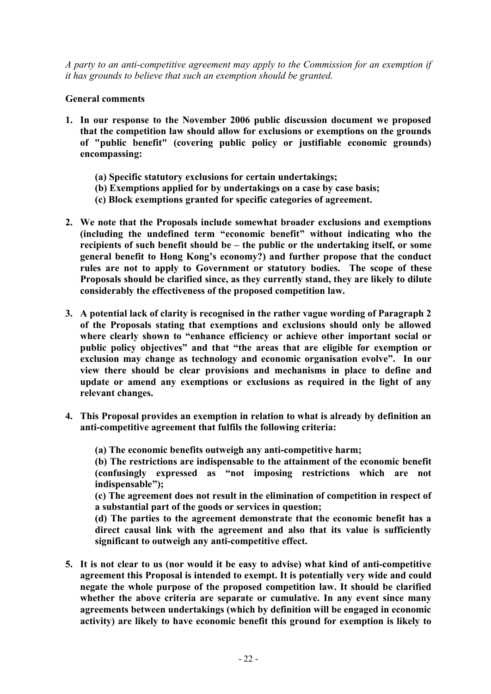*A party to an anti-competitive agreement may apply to the Commission for an exemption if it has grounds to believe that such an exemption should be granted.* 

## **General comments**

- **1. In our response to the November 2006 public discussion document we proposed that the competition law should allow for exclusions or exemptions on the grounds of "public benefit" (covering public policy or justifiable economic grounds) encompassing:** 
	- **(a) Specific statutory exclusions for certain undertakings;**
	- **(b) Exemptions applied for by undertakings on a case by case basis;**
	- **(c) Block exemptions granted for specific categories of agreement.**
- **2. We note that the Proposals include somewhat broader exclusions and exemptions (including the undefined term "economic benefit" without indicating who the recipients of such benefit should be – the public or the undertaking itself, or some general benefit to Hong Kong's economy?) and further propose that the conduct rules are not to apply to Government or statutory bodies. The scope of these Proposals should be clarified since, as they currently stand, they are likely to dilute considerably the effectiveness of the proposed competition law.**
- **3. A potential lack of clarity is recognised in the rather vague wording of Paragraph 2 of the Proposals stating that exemptions and exclusions should only be allowed where clearly shown to "enhance efficiency or achieve other important social or public policy objectives" and that "the areas that are eligible for exemption or exclusion may change as technology and economic organisation evolve". In our view there should be clear provisions and mechanisms in place to define and update or amend any exemptions or exclusions as required in the light of any relevant changes.**
- **4. This Proposal provides an exemption in relation to what is already by definition an anti-competitive agreement that fulfils the following criteria:**

**(a) The economic benefits outweigh any anti-competitive harm;** 

**(b) The restrictions are indispensable to the attainment of the economic benefit (confusingly expressed as "not imposing restrictions which are not indispensable");** 

**(c) The agreement does not result in the elimination of competition in respect of a substantial part of the goods or services in question;** 

**(d) The parties to the agreement demonstrate that the economic benefit has a direct causal link with the agreement and also that its value is sufficiently significant to outweigh any anti-competitive effect.** 

**5. It is not clear to us (nor would it be easy to advise) what kind of anti-competitive agreement this Proposal is intended to exempt. It is potentially very wide and could negate the whole purpose of the proposed competition law. It should be clarified whether the above criteria are separate or cumulative. In any event since many agreements between undertakings (which by definition will be engaged in economic activity) are likely to have economic benefit this ground for exemption is likely to**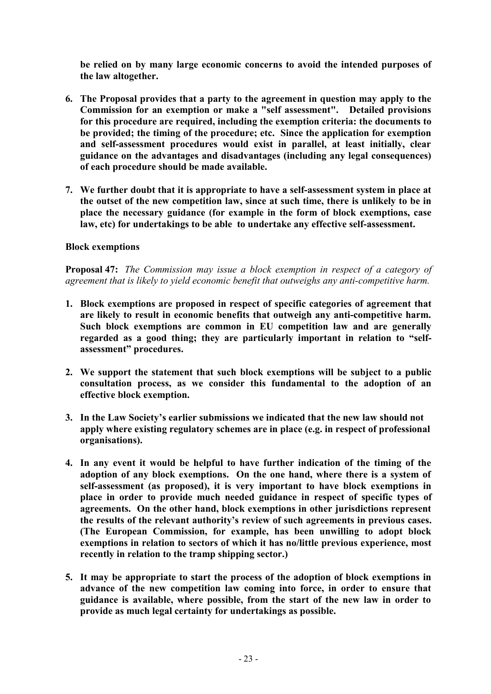**be relied on by many large economic concerns to avoid the intended purposes of the law altogether.** 

- **6. The Proposal provides that a party to the agreement in question may apply to the Commission for an exemption or make a "self assessment". Detailed provisions for this procedure are required, including the exemption criteria: the documents to be provided; the timing of the procedure; etc. Since the application for exemption and self-assessment procedures would exist in parallel, at least initially, clear guidance on the advantages and disadvantages (including any legal consequences) of each procedure should be made available.**
- **7. We further doubt that it is appropriate to have a self-assessment system in place at the outset of the new competition law, since at such time, there is unlikely to be in place the necessary guidance (for example in the form of block exemptions, case law, etc) for undertakings to be able to undertake any effective self-assessment.**

#### **Block exemptions**

**Proposal 47:** *The Commission may issue a block exemption in respect of a category of agreement that is likely to yield economic benefit that outweighs any anti-competitive harm.* 

- **1. Block exemptions are proposed in respect of specific categories of agreement that are likely to result in economic benefits that outweigh any anti-competitive harm. Such block exemptions are common in EU competition law and are generally regarded as a good thing; they are particularly important in relation to "selfassessment" procedures.**
- **2. We support the statement that such block exemptions will be subject to a public consultation process, as we consider this fundamental to the adoption of an effective block exemption.**
- **3. In the Law Society's earlier submissions we indicated that the new law should not apply where existing regulatory schemes are in place (e.g. in respect of professional organisations).**
- **4. In any event it would be helpful to have further indication of the timing of the adoption of any block exemptions. On the one hand, where there is a system of self-assessment (as proposed), it is very important to have block exemptions in place in order to provide much needed guidance in respect of specific types of agreements. On the other hand, block exemptions in other jurisdictions represent the results of the relevant authority's review of such agreements in previous cases. (The European Commission, for example, has been unwilling to adopt block exemptions in relation to sectors of which it has no/little previous experience, most recently in relation to the tramp shipping sector.)**
- **5. It may be appropriate to start the process of the adoption of block exemptions in advance of the new competition law coming into force, in order to ensure that guidance is available, where possible, from the start of the new law in order to provide as much legal certainty for undertakings as possible.**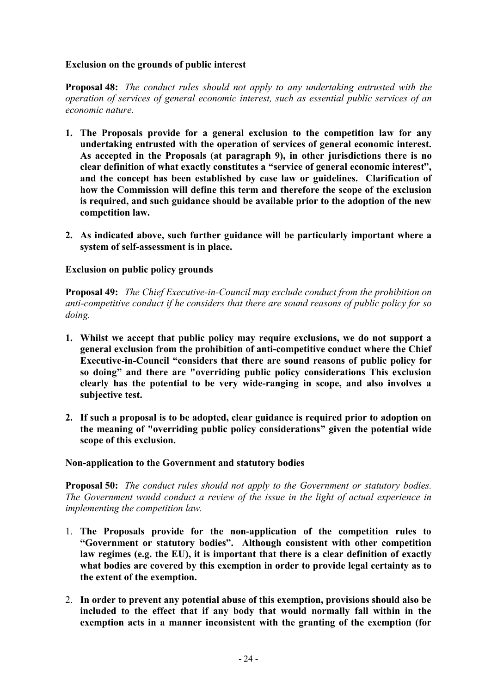### **Exclusion on the grounds of public interest**

**Proposal 48:** *The conduct rules should not apply to any undertaking entrusted with the operation of services of general economic interest, such as essential public services of an economic nature.* 

- **1. The Proposals provide for a general exclusion to the competition law for any undertaking entrusted with the operation of services of general economic interest. As accepted in the Proposals (at paragraph 9), in other jurisdictions there is no clear definition of what exactly constitutes a "service of general economic interest", and the concept has been established by case law or guidelines. Clarification of how the Commission will define this term and therefore the scope of the exclusion is required, and such guidance should be available prior to the adoption of the new competition law.**
- **2. As indicated above, such further guidance will be particularly important where a system of self-assessment is in place.**

## **Exclusion on public policy grounds**

**Proposal 49:** *The Chief Executive-in-Council may exclude conduct from the prohibition on anti-competitive conduct if he considers that there are sound reasons of public policy for so doing.* 

- **1. Whilst we accept that public policy may require exclusions, we do not support a general exclusion from the prohibition of anti-competitive conduct where the Chief Executive-in-Council "considers that there are sound reasons of public policy for so doing" and there are "overriding public policy considerations This exclusion clearly has the potential to be very wide-ranging in scope, and also involves a subjective test.**
- **2. If such a proposal is to be adopted, clear guidance is required prior to adoption on the meaning of "overriding public policy considerations" given the potential wide scope of this exclusion.**

#### **Non-application to the Government and statutory bodies**

**Proposal 50:** *The conduct rules should not apply to the Government or statutory bodies. The Government would conduct a review of the issue in the light of actual experience in implementing the competition law.* 

- 1. **The Proposals provide for the non-application of the competition rules to "Government or statutory bodies". Although consistent with other competition law regimes (e.g. the EU), it is important that there is a clear definition of exactly what bodies are covered by this exemption in order to provide legal certainty as to the extent of the exemption.**
- 2. **In order to prevent any potential abuse of this exemption, provisions should also be included to the effect that if any body that would normally fall within in the exemption acts in a manner inconsistent with the granting of the exemption (for**